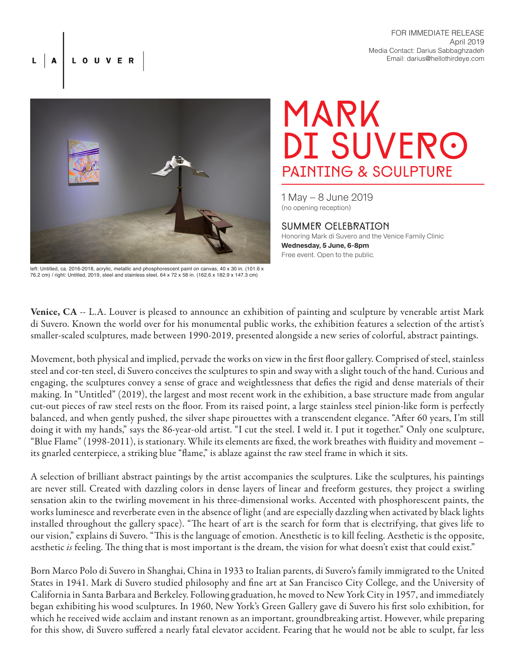FOR IMMEDIATE RELEASE April 2019 Media Contact: Darius Sabbaghzadeh Email: darius@hellothirdeye.com



LOUVER

left: Untitled, ca. 2016-2018, acrylic, metallic and phosphorescent paint on canvas, 40 x 30 in. (101.6 x 76.2 cm) / right: Untitled, 2019, steel and stainless steel, 64 x 72 x 58 in. (162.6 x 182.9 x 147.3 cm)

Mark DI SUVERO painting & sculpture

1 May – 8 June 2019 (no opening reception)

Summer celebration Honoring Mark di Suvero and the Venice Family Clinic **Wednesday, 5 June, 6-8pm** Free event. Open to the public.

Venice, CA -- L.A. Louver is pleased to announce an exhibition of painting and sculpture by venerable artist Mark di Suvero. Known the world over for his monumental public works, the exhibition features a selection of the artist's smaller-scaled sculptures, made between 1990-2019, presented alongside a new series of colorful, abstract paintings.

Movement, both physical and implied, pervade the works on view in the first floor gallery. Comprised of steel, stainless steel and cor-ten steel, di Suvero conceives the sculptures to spin and sway with a slight touch of the hand. Curious and engaging, the sculptures convey a sense of grace and weightlessness that defies the rigid and dense materials of their making. In "Untitled" (2019), the largest and most recent work in the exhibition, a base structure made from angular cut-out pieces of raw steel rests on the floor. From its raised point, a large stainless steel pinion-like form is perfectly balanced, and when gently pushed, the silver shape pirouettes with a transcendent elegance. "After 60 years, I'm still doing it with my hands," says the 86-year-old artist. "I cut the steel. I weld it. I put it together." Only one sculpture, "Blue Flame" (1998-2011), is stationary. While its elements are fixed, the work breathes with fluidity and movement – its gnarled centerpiece, a striking blue "flame," is ablaze against the raw steel frame in which it sits.

A selection of brilliant abstract paintings by the artist accompanies the sculptures. Like the sculptures, his paintings are never still. Created with dazzling colors in dense layers of linear and freeform gestures, they project a swirling sensation akin to the twirling movement in his three-dimensional works. Accented with phosphorescent paints, the works luminesce and reverberate even in the absence of light (and are especially dazzling when activated by black lights installed throughout the gallery space). "The heart of art is the search for form that is electrifying, that gives life to our vision," explains di Suvero. "This is the language of emotion. Anesthetic is to kill feeling. Aesthetic is the opposite, aesthetic *is* feeling. The thing that is most important is the dream, the vision for what doesn't exist that could exist."

Born Marco Polo di Suvero in Shanghai, China in 1933 to Italian parents, di Suvero's family immigrated to the United States in 1941. Mark di Suvero studied philosophy and fine art at San Francisco City College, and the University of California in Santa Barbara and Berkeley. Following graduation, he moved to New York City in 1957, and immediately began exhibiting his wood sculptures. In 1960, New York's Green Gallery gave di Suvero his first solo exhibition, for which he received wide acclaim and instant renown as an important, groundbreaking artist. However, while preparing for this show, di Suvero suffered a nearly fatal elevator accident. Fearing that he would not be able to sculpt, far less